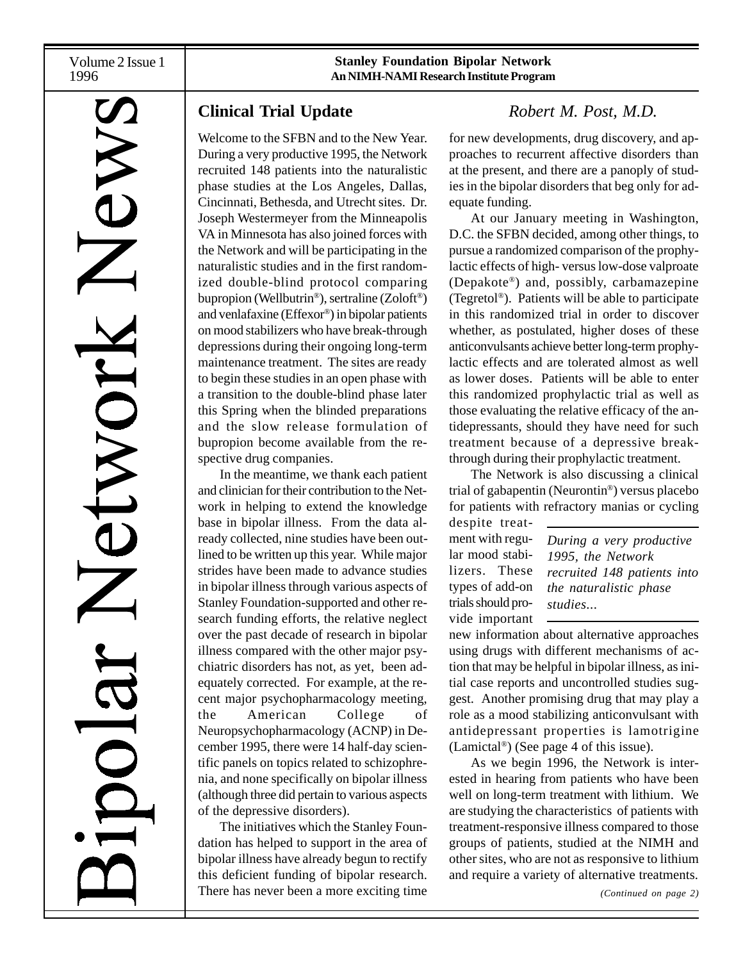# WJS

## **Clinical Trial Update** *Robert M. Post, M.D.*

Welcome to the SFBN and to the New Year. During a very productive 1995, the Network recruited 148 patients into the naturalistic phase studies at the Los Angeles, Dallas, Cincinnati, Bethesda, and Utrecht sites. Dr. Joseph Westermeyer from the Minneapolis VA in Minnesota has also joined forces with the Network and will be participating in the naturalistic studies and in the first randomized double-blind protocol comparing bupropion (Wellbutrin®), sertraline (Zoloft®) and venlafaxine (Effexor®) in bipolar patients on mood stabilizers who have break-through depressions during their ongoing long-term maintenance treatment. The sites are ready to begin these studies in an open phase with a transition to the double-blind phase later this Spring when the blinded preparations and the slow release formulation of bupropion become available from the respective drug companies.

In the meantime, we thank each patient and clinician for their contribution to the Network in helping to extend the knowledge base in bipolar illness. From the data already collected, nine studies have been outlined to be written up this year. While major strides have been made to advance studies in bipolar illness through various aspects of Stanley Foundation-supported and other research funding efforts, the relative neglect over the past decade of research in bipolar illness compared with the other major psychiatric disorders has not, as yet, been adequately corrected. For example, at the recent major psychopharmacology meeting, the American College of Neuropsychopharmacology (ACNP) in December 1995, there were 14 half-day scientific panels on topics related to schizophrenia, and none specifically on bipolar illness (although three did pertain to various aspects of the depressive disorders).

The initiatives which the Stanley Foundation has helped to support in the area of bipolar illness have already begun to rectify this deficient funding of bipolar research. There has never been a more exciting time

for new developments, drug discovery, and approaches to recurrent affective disorders than at the present, and there are a panoply of studies in the bipolar disorders that beg only for adequate funding.

At our January meeting in Washington, D.C. the SFBN decided, among other things, to pursue a randomized comparison of the prophylactic effects of high- versus low-dose valproate (Depakote®) and, possibly, carbamazepine (Tegretol®). Patients will be able to participate in this randomized trial in order to discover whether, as postulated, higher doses of these anticonvulsants achieve better long-term prophylactic effects and are tolerated almost as well as lower doses. Patients will be able to enter this randomized prophylactic trial as well as those evaluating the relative efficacy of the antidepressants, should they have need for such treatment because of a depressive breakthrough during their prophylactic treatment.

The Network is also discussing a clinical trial of gabapentin (Neurontin®) versus placebo for patients with refractory manias or cycling

despite treatment with regular mood stabilizers. These types of add-on trials should provide important

*During a very productive 1995, the Network recruited 148 patients into the naturalistic phase studies...*

new information about alternative approaches using drugs with different mechanisms of action that may be helpful in bipolar illness, as initial case reports and uncontrolled studies suggest. Another promising drug that may play a role as a mood stabilizing anticonvulsant with antidepressant properties is lamotrigine (Lamictal®) (See page 4 of this issue).

As we begin 1996, the Network is interested in hearing from patients who have been well on long-term treatment with lithium. We are studying the characteristics of patients with treatment-responsive illness compared to those groups of patients, studied at the NIMH and other sites, who are not as responsive to lithium and require a variety of alternative treatments.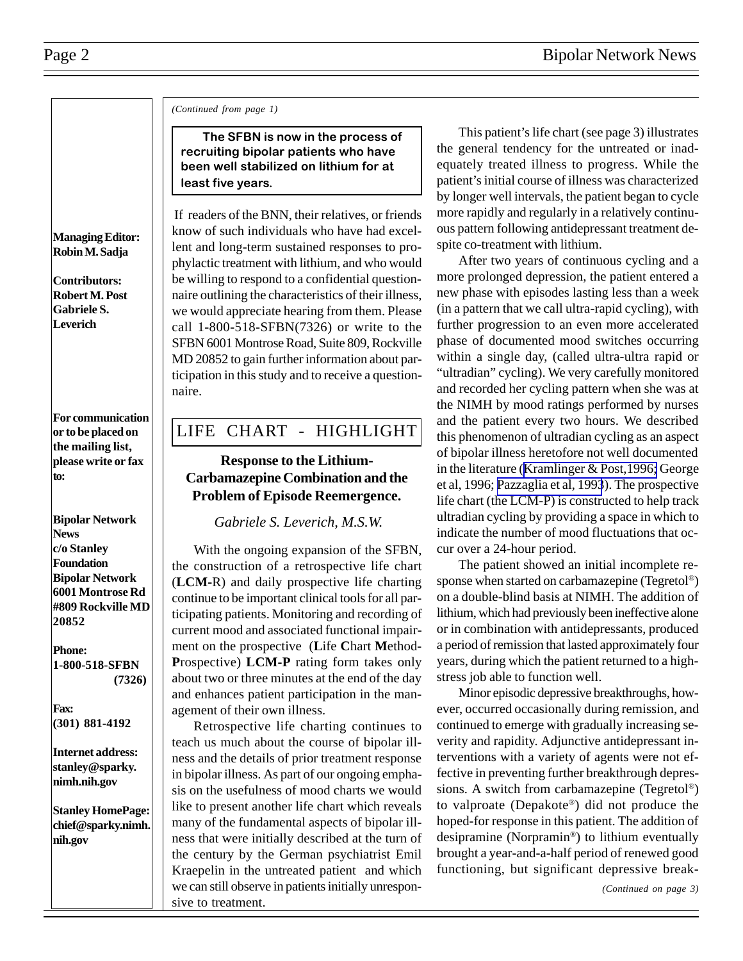*(Continued from page 1)*

The SFBN is now in the process of recruiting bipolar patients who have been well stabilized on lithium for at least five years.

 If readers of the BNN, their relatives, or friends know of such individuals who have had excellent and long-term sustained responses to prophylactic treatment with lithium, and who would be willing to respond to a confidential questionnaire outlining the characteristics of their illness, we would appreciate hearing from them. Please call 1-800-518-SFBN(7326) or write to the SFBN 6001 Montrose Road, Suite 809, Rockville MD 20852 to gain further information about participation in this study and to receive a questionnaire.

### **For communication or to be placed on the mailing list, please write or fax to:**

**Managing Editor: Robin M. Sadja**

**Contributors: Robert M. Post Gabriele S. Leverich**

**Bipolar Network News c/o Stanley Foundation Bipolar Network 6001 Montrose Rd #809 Rockville MD 20852**

**Phone: 1-800-518-SFBN (7326)**

**Fax: (301) 881-4192**

**Internet address: stanley@sparky. nimh.nih.gov**

**Stanley HomePage: chief@sparky.nimh. nih.gov**

### LIFE CHART - HIGHLIGHT

### **Response to the Lithium-Carbamazepine Combination and the Problem of Episode Reemergence.**

 *Gabriele S. Leverich, M.S.W.*

With the ongoing expansion of the SFBN, the construction of a retrospective life chart (**LCM-**R) and daily prospective life charting continue to be important clinical tools for all participating patients. Monitoring and recording of current mood and associated functional impairment on the prospective (**L**ife **C**hart **M**ethod-**P**rospective) **LCM-P** rating form takes only about two or three minutes at the end of the day and enhances patient participation in the management of their own illness.

Retrospective life charting continues to teach us much about the course of bipolar illness and the details of prior treatment response in bipolar illness. As part of our ongoing emphasis on the usefulness of mood charts we would like to present another life chart which reveals many of the fundamental aspects of bipolar illness that were initially described at the turn of the century by the German psychiatrist Emil Kraepelin in the untreated patient and which we can still observe in patients initially unresponsive to treatment.

This patient's life chart (see page 3) illustrates the general tendency for the untreated or inadequately treated illness to progress. While the patient's initial course of illness was characterized by longer well intervals, the patient began to cycle more rapidly and regularly in a relatively continuous pattern following antidepressant treatment despite co-treatment with lithium.

After two years of continuous cycling and a more prolonged depression, the patient entered a new phase with episodes lasting less than a week (in a pattern that we call ultra-rapid cycling), with further progression to an even more accelerated phase of documented mood switches occurring within a single day, (called ultra-ultra rapid or "ultradian" cycling). We very carefully monitored and recorded her cycling pattern when she was at the NIMH by mood ratings performed by nurses and the patient every two hours. We described this phenomenon of ultradian cycling as an aspect of bipolar illness heretofore not well documented in the literature ([Kramlinger & Post,1996;](http://www.ncbi.nlm.nih.gov:80/entrez/query.fcgi?cmd=Retrieve&db=PubMed&list_uids=8833685&dopt=Abstract) George et al, 1996; [Pazzaglia et al, 1993](http://www.ncbi.nlm.nih.gov:80/entrez/query.fcgi?cmd=Retrieve&db=PubMed&list_uids=8177920&dopt=Abstract)). The prospective life chart (the LCM-P) is constructed to help track ultradian cycling by providing a space in which to indicate the number of mood fluctuations that occur over a 24-hour period.

The patient showed an initial incomplete response when started on carbamazepine (Tegretol®) on a double-blind basis at NIMH. The addition of lithium, which had previously been ineffective alone or in combination with antidepressants, produced a period of remission that lasted approximately four years, during which the patient returned to a highstress job able to function well.

Minor episodic depressive breakthroughs, however, occurred occasionally during remission, and continued to emerge with gradually increasing severity and rapidity. Adjunctive antidepressant interventions with a variety of agents were not effective in preventing further breakthrough depressions. A switch from carbamazepine (Tegretol®) to valproate (Depakote®) did not produce the hoped-for response in this patient. The addition of desipramine (Norpramin®) to lithium eventually brought a year-and-a-half period of renewed good functioning, but significant depressive break-

*(Continued on page 3)*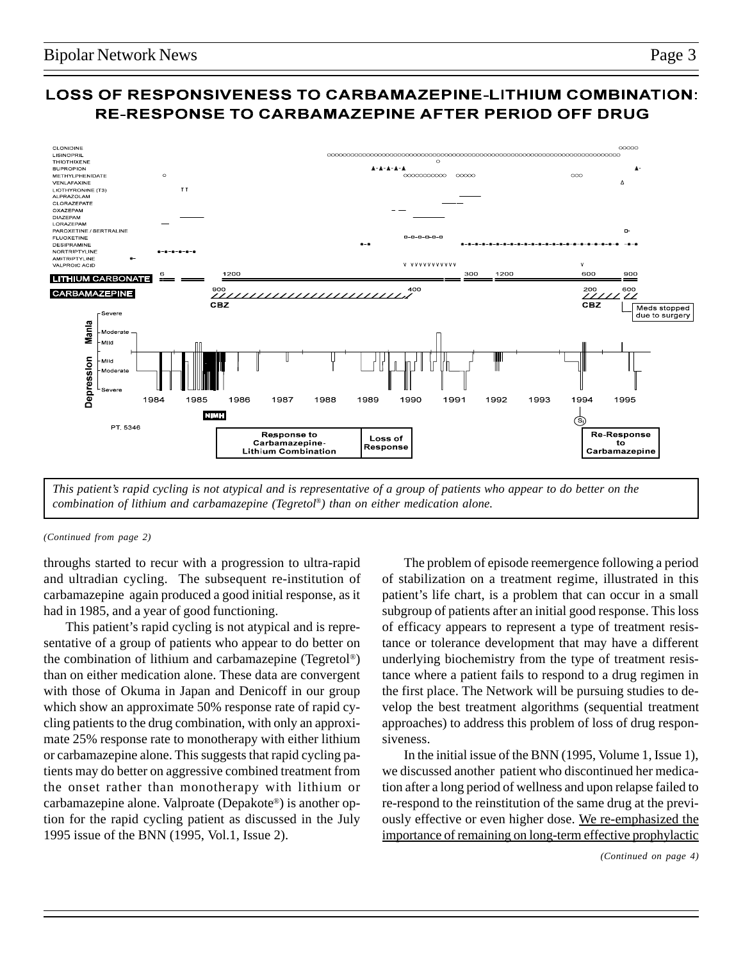

### **LOSS OF RESPONSIVENESS TO CARBAMAZEPINE-LITHIUM COMBINATION: RE-RESPONSE TO CARBAMAZEPINE AFTER PERIOD OFF DRUG**

*This patient's rapid cycling is not atypical and is representative of a group of patients who appear to do better on the combination of lithium and carbamazepine (Tegretol®) than on either medication alone.*

### *(Continued from page 2)*

throughs started to recur with a progression to ultra-rapid and ultradian cycling. The subsequent re-institution of carbamazepine again produced a good initial response, as it had in 1985, and a year of good functioning.

This patient's rapid cycling is not atypical and is representative of a group of patients who appear to do better on the combination of lithium and carbamazepine (Tegretol®) than on either medication alone. These data are convergent with those of Okuma in Japan and Denicoff in our group which show an approximate 50% response rate of rapid cycling patients to the drug combination, with only an approximate 25% response rate to monotherapy with either lithium or carbamazepine alone. This suggests that rapid cycling patients may do better on aggressive combined treatment from the onset rather than monotherapy with lithium or carbamazepine alone. Valproate (Depakote®) is another option for the rapid cycling patient as discussed in the July 1995 issue of the BNN (1995, Vol.1, Issue 2).

The problem of episode reemergence following a period of stabilization on a treatment regime, illustrated in this patient's life chart, is a problem that can occur in a small subgroup of patients after an initial good response. This loss of efficacy appears to represent a type of treatment resistance or tolerance development that may have a different underlying biochemistry from the type of treatment resistance where a patient fails to respond to a drug regimen in the first place. The Network will be pursuing studies to develop the best treatment algorithms (sequential treatment approaches) to address this problem of loss of drug responsiveness.

In the initial issue of the BNN (1995, Volume 1, Issue 1), we discussed another patient who discontinued her medication after a long period of wellness and upon relapse failed to re-respond to the reinstitution of the same drug at the previously effective or even higher dose. We re-emphasized the importance of remaining on long-term effective prophylactic

*(Continued on page 4)*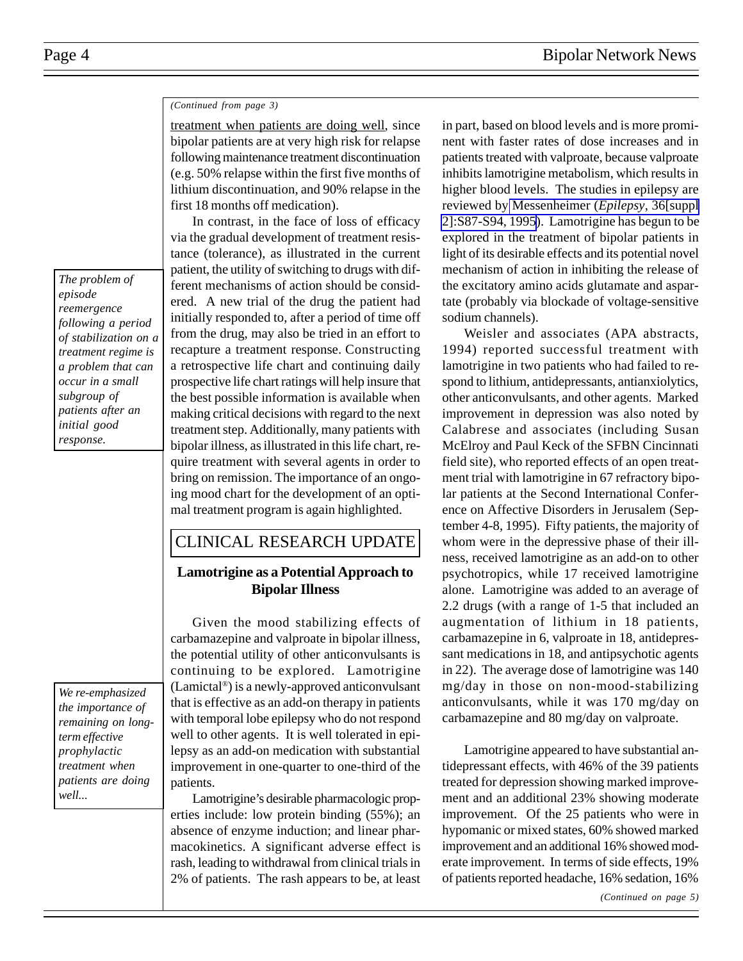### *(Continued from page 3)*

treatment when patients are doing well, since bipolar patients are at very high risk for relapse following maintenance treatment discontinuation (e.g. 50% relapse within the first five months of lithium discontinuation, and 90% relapse in the first 18 months off medication).

In contrast, in the face of loss of efficacy via the gradual development of treatment resistance (tolerance), as illustrated in the current patient, the utility of switching to drugs with different mechanisms of action should be considered. A new trial of the drug the patient had initially responded to, after a period of time off from the drug, may also be tried in an effort to recapture a treatment response. Constructing a retrospective life chart and continuing daily prospective life chart ratings will help insure that the best possible information is available when making critical decisions with regard to the next treatment step. Additionally, many patients with bipolar illness, as illustrated in this life chart, require treatment with several agents in order to bring on remission. The importance of an ongoing mood chart for the development of an optimal treatment program is again highlighted.

### CLINICAL RESEARCH UPDATE

### **Lamotrigine as a Potential Approach to Bipolar Illness**

Given the mood stabilizing effects of carbamazepine and valproate in bipolar illness, the potential utility of other anticonvulsants is continuing to be explored. Lamotrigine (Lamictal®) is a newly-approved anticonvulsant that is effective as an add-on therapy in patients with temporal lobe epilepsy who do not respond well to other agents. It is well tolerated in epilepsy as an add-on medication with substantial improvement in one-quarter to one-third of the patients.

Lamotrigine's desirable pharmacologic properties include: low protein binding (55%); an absence of enzyme induction; and linear pharmacokinetics. A significant adverse effect is rash, leading to withdrawal from clinical trials in 2% of patients. The rash appears to be, at least

in part, based on blood levels and is more prominent with faster rates of dose increases and in patients treated with valproate, because valproate inhibits lamotrigine metabolism, which results in higher blood levels. The studies in epilepsy are reviewed by [Messenheimer \(](http://www.ncbi.nlm.nih.gov:80/entrez/query.fcgi?cmd=Retrieve&db=PubMed&list_uids=8784217&dopt=Abstract)*Epilepsy*, 36[suppl [2\]:S87-S94, 1995](http://www.ncbi.nlm.nih.gov:80/entrez/query.fcgi?cmd=Retrieve&db=PubMed&list_uids=8784217&dopt=Abstract)). Lamotrigine has begun to be explored in the treatment of bipolar patients in light of its desirable effects and its potential novel mechanism of action in inhibiting the release of the excitatory amino acids glutamate and aspartate (probably via blockade of voltage-sensitive sodium channels).

Weisler and associates (APA abstracts, 1994) reported successful treatment with lamotrigine in two patients who had failed to respond to lithium, antidepressants, antianxiolytics, other anticonvulsants, and other agents. Marked improvement in depression was also noted by Calabrese and associates (including Susan McElroy and Paul Keck of the SFBN Cincinnati field site), who reported effects of an open treatment trial with lamotrigine in 67 refractory bipolar patients at the Second International Conference on Affective Disorders in Jerusalem (September 4-8, 1995). Fifty patients, the majority of whom were in the depressive phase of their illness, received lamotrigine as an add-on to other psychotropics, while 17 received lamotrigine alone. Lamotrigine was added to an average of 2.2 drugs (with a range of 1-5 that included an augmentation of lithium in 18 patients, carbamazepine in 6, valproate in 18, antidepressant medications in 18, and antipsychotic agents in 22). The average dose of lamotrigine was 140 mg/day in those on non-mood-stabilizing anticonvulsants, while it was 170 mg/day on carbamazepine and 80 mg/day on valproate.

Lamotrigine appeared to have substantial antidepressant effects, with 46% of the 39 patients treated for depression showing marked improvement and an additional 23% showing moderate improvement. Of the 25 patients who were in hypomanic or mixed states, 60% showed marked improvement and an additional 16% showed moderate improvement. In terms of side effects, 19% of patients reported headache, 16% sedation, 16%

*(Continued on page 5)*

*The problem of episode reemergence following a period of stabilization on a treatment regime is a problem that can occur in a small subgroup of patients after an initial good response.*

*We re-emphasized the importance of remaining on longterm effective prophylactic treatment when patients are doing well...*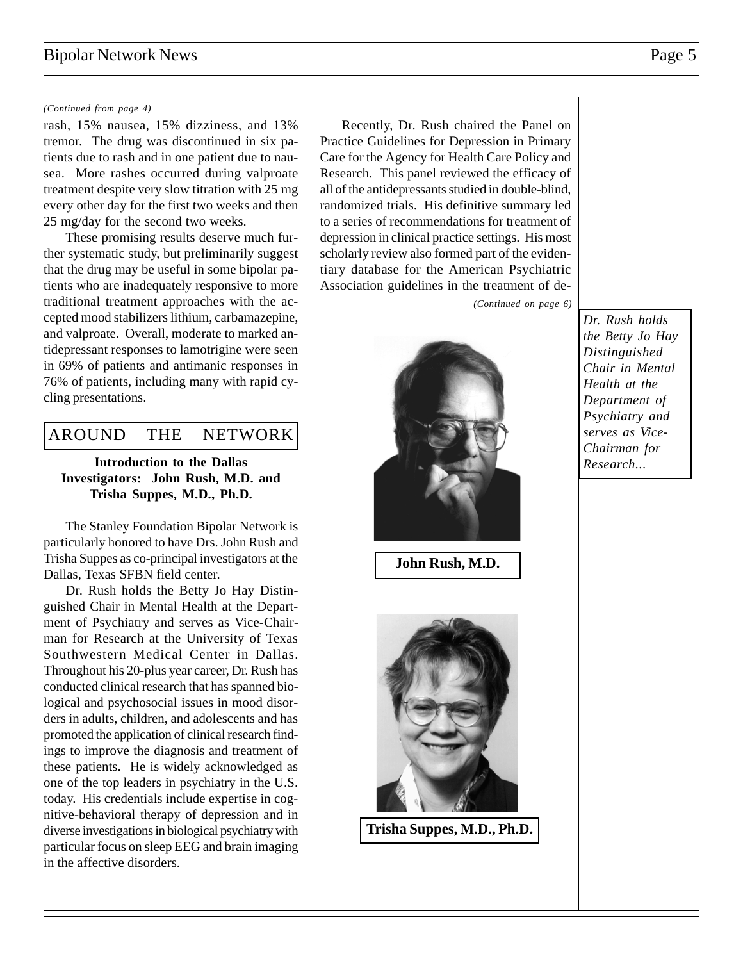### Bipolar Network News Page 5

### *(Continued from page 4)*

rash, 15% nausea, 15% dizziness, and 13% tremor. The drug was discontinued in six patients due to rash and in one patient due to nausea. More rashes occurred during valproate treatment despite very slow titration with 25 mg every other day for the first two weeks and then 25 mg/day for the second two weeks.

These promising results deserve much further systematic study, but preliminarily suggest that the drug may be useful in some bipolar patients who are inadequately responsive to more traditional treatment approaches with the accepted mood stabilizers lithium, carbamazepine, and valproate. Overall, moderate to marked antidepressant responses to lamotrigine were seen in 69% of patients and antimanic responses in 76% of patients, including many with rapid cycling presentations.

### AROUND THE NETWORK

**Introduction to the Dallas Investigators: John Rush, M.D. and Trisha Suppes, M.D., Ph.D.**

The Stanley Foundation Bipolar Network is particularly honored to have Drs. John Rush and Trisha Suppes as co-principal investigators at the Dallas, Texas SFBN field center.

Dr. Rush holds the Betty Jo Hay Distinguished Chair in Mental Health at the Department of Psychiatry and serves as Vice-Chairman for Research at the University of Texas Southwestern Medical Center in Dallas. Throughout his 20-plus year career, Dr. Rush has conducted clinical research that has spanned biological and psychosocial issues in mood disorders in adults, children, and adolescents and has promoted the application of clinical research findings to improve the diagnosis and treatment of these patients. He is widely acknowledged as one of the top leaders in psychiatry in the U.S. today. His credentials include expertise in cognitive-behavioral therapy of depression and in diverse investigations in biological psychiatry with particular focus on sleep EEG and brain imaging in the affective disorders.

Recently, Dr. Rush chaired the Panel on Practice Guidelines for Depression in Primary Care for the Agency for Health Care Policy and Research. This panel reviewed the efficacy of all of the antidepressants studied in double-blind, randomized trials. His definitive summary led to a series of recommendations for treatment of depression in clinical practice settings. His most scholarly review also formed part of the evidentiary database for the American Psychiatric Association guidelines in the treatment of de-

*(Continued on page 6)*



**Trisha Suppes, M.D., Ph.D.**

*Dr. Rush holds the Betty Jo Hay Distinguished Chair in Mental Health at the Department of Psychiatry and serves as Vice-Chairman for Research...*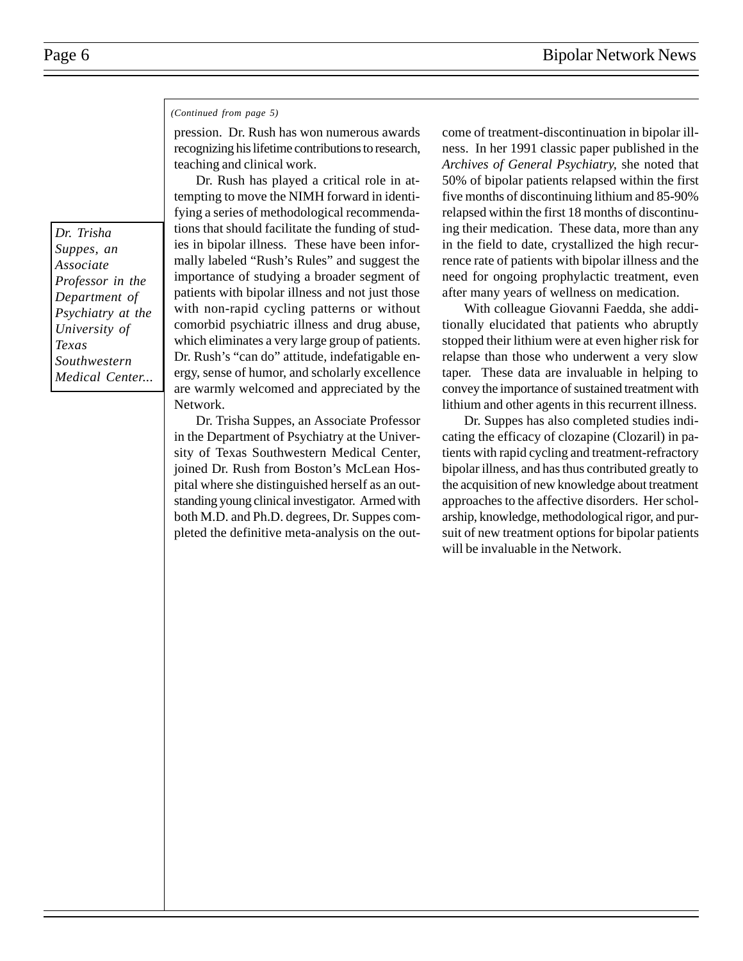### *(Continued from page 5)*

pression. Dr. Rush has won numerous awards recognizing his lifetime contributions to research, teaching and clinical work.

Dr. Rush has played a critical role in attempting to move the NIMH forward in identifying a series of methodological recommendations that should facilitate the funding of studies in bipolar illness. These have been informally labeled "Rush's Rules" and suggest the importance of studying a broader segment of patients with bipolar illness and not just those with non-rapid cycling patterns or without comorbid psychiatric illness and drug abuse, which eliminates a very large group of patients. Dr. Rush's "can do" attitude, indefatigable energy, sense of humor, and scholarly excellence are warmly welcomed and appreciated by the Network.

Dr. Trisha Suppes, an Associate Professor in the Department of Psychiatry at the University of Texas Southwestern Medical Center, joined Dr. Rush from Boston's McLean Hospital where she distinguished herself as an outstanding young clinical investigator. Armed with both M.D. and Ph.D. degrees, Dr. Suppes completed the definitive meta-analysis on the outcome of treatment-discontinuation in bipolar illness. In her 1991 classic paper published in the *Archives of General Psychiatry,* she noted that 50% of bipolar patients relapsed within the first five months of discontinuing lithium and 85-90% relapsed within the first 18 months of discontinuing their medication. These data, more than any in the field to date, crystallized the high recurrence rate of patients with bipolar illness and the need for ongoing prophylactic treatment, even after many years of wellness on medication.

With colleague Giovanni Faedda, she additionally elucidated that patients who abruptly stopped their lithium were at even higher risk for relapse than those who underwent a very slow taper. These data are invaluable in helping to convey the importance of sustained treatment with lithium and other agents in this recurrent illness.

Dr. Suppes has also completed studies indicating the efficacy of clozapine (Clozaril) in patients with rapid cycling and treatment-refractory bipolar illness, and has thus contributed greatly to the acquisition of new knowledge about treatment approaches to the affective disorders. Her scholarship, knowledge, methodological rigor, and pursuit of new treatment options for bipolar patients will be invaluable in the Network.

*Dr. Trisha Suppes, an Associate Professor in the Department of Psychiatry at the University of Texas Southwestern Medical Center...*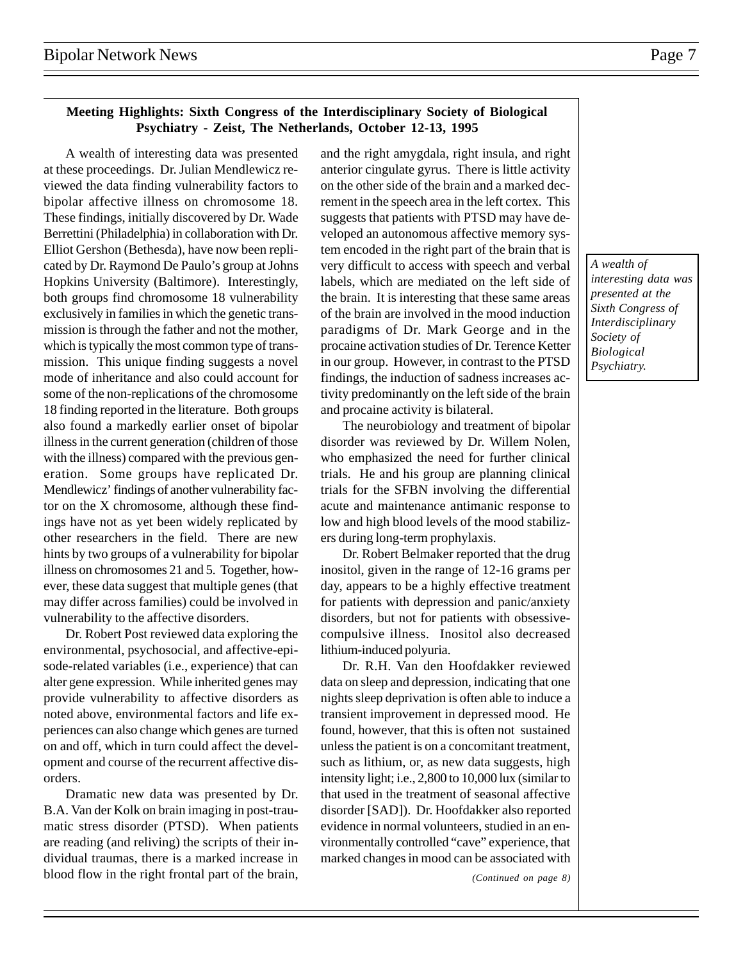### **Meeting Highlights: Sixth Congress of the Interdisciplinary Society of Biological Psychiatry - Zeist, The Netherlands, October 12-13, 1995**

A wealth of interesting data was presented at these proceedings. Dr. Julian Mendlewicz reviewed the data finding vulnerability factors to bipolar affective illness on chromosome 18. These findings, initially discovered by Dr. Wade Berrettini (Philadelphia) in collaboration with Dr. Elliot Gershon (Bethesda), have now been replicated by Dr. Raymond De Paulo's group at Johns Hopkins University (Baltimore). Interestingly, both groups find chromosome 18 vulnerability exclusively in families in which the genetic transmission is through the father and not the mother, which is typically the most common type of transmission. This unique finding suggests a novel mode of inheritance and also could account for some of the non-replications of the chromosome 18 finding reported in the literature. Both groups also found a markedly earlier onset of bipolar illness in the current generation (children of those with the illness) compared with the previous generation. Some groups have replicated Dr. Mendlewicz' findings of another vulnerability factor on the X chromosome, although these findings have not as yet been widely replicated by other researchers in the field. There are new hints by two groups of a vulnerability for bipolar illness on chromosomes 21 and 5. Together, however, these data suggest that multiple genes (that may differ across families) could be involved in vulnerability to the affective disorders.

Dr. Robert Post reviewed data exploring the environmental, psychosocial, and affective-episode-related variables (i.e., experience) that can alter gene expression. While inherited genes may provide vulnerability to affective disorders as noted above, environmental factors and life experiences can also change which genes are turned on and off, which in turn could affect the development and course of the recurrent affective disorders.

Dramatic new data was presented by Dr. B.A. Van der Kolk on brain imaging in post-traumatic stress disorder (PTSD). When patients are reading (and reliving) the scripts of their individual traumas, there is a marked increase in blood flow in the right frontal part of the brain, and the right amygdala, right insula, and right anterior cingulate gyrus. There is little activity on the other side of the brain and a marked decrement in the speech area in the left cortex. This suggests that patients with PTSD may have developed an autonomous affective memory system encoded in the right part of the brain that is very difficult to access with speech and verbal labels, which are mediated on the left side of the brain. It is interesting that these same areas of the brain are involved in the mood induction paradigms of Dr. Mark George and in the procaine activation studies of Dr. Terence Ketter in our group. However, in contrast to the PTSD findings, the induction of sadness increases activity predominantly on the left side of the brain and procaine activity is bilateral.

The neurobiology and treatment of bipolar disorder was reviewed by Dr. Willem Nolen, who emphasized the need for further clinical trials. He and his group are planning clinical trials for the SFBN involving the differential acute and maintenance antimanic response to low and high blood levels of the mood stabilizers during long-term prophylaxis.

Dr. Robert Belmaker reported that the drug inositol, given in the range of 12-16 grams per day, appears to be a highly effective treatment for patients with depression and panic/anxiety disorders, but not for patients with obsessivecompulsive illness. Inositol also decreased lithium-induced polyuria.

Dr. R.H. Van den Hoofdakker reviewed data on sleep and depression, indicating that one nights sleep deprivation is often able to induce a transient improvement in depressed mood. He found, however, that this is often not sustained unless the patient is on a concomitant treatment, such as lithium, or, as new data suggests, high intensity light; i.e., 2,800 to 10,000 lux (similar to that used in the treatment of seasonal affective disorder [SAD]). Dr. Hoofdakker also reported evidence in normal volunteers, studied in an environmentally controlled "cave" experience, that marked changes in mood can be associated with

*A wealth of interesting data was presented at the Sixth Congress of Interdisciplinary Society of Biological Psychiatry.*

*(Continued on page 8)*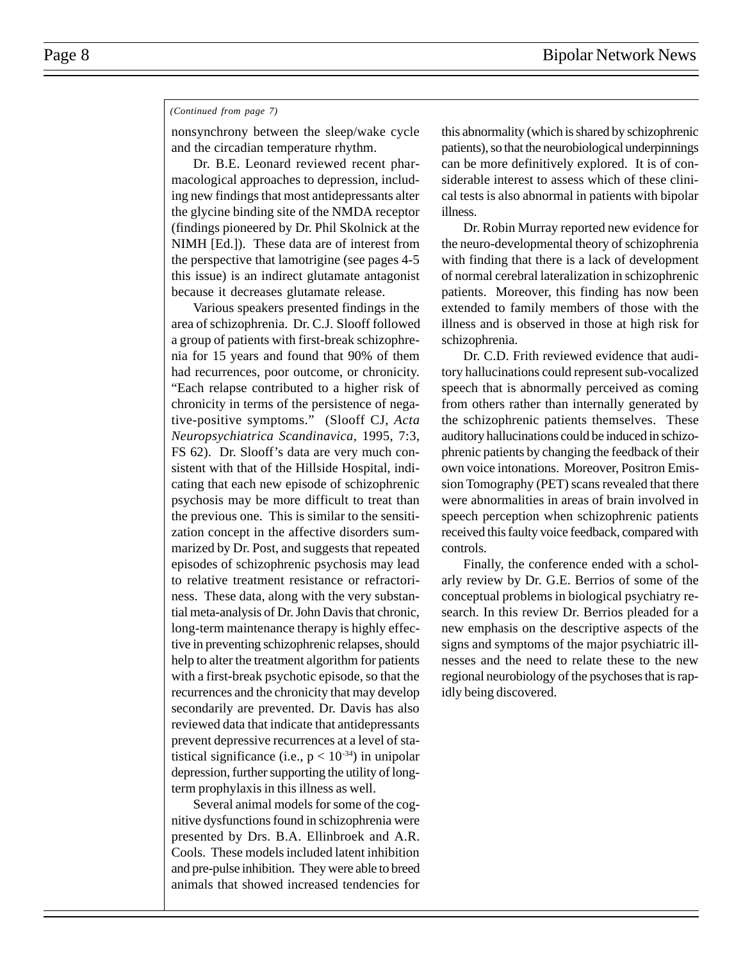### *(Continued from page 7)*

nonsynchrony between the sleep/wake cycle and the circadian temperature rhythm.

Dr. B.E. Leonard reviewed recent pharmacological approaches to depression, including new findings that most antidepressants alter the glycine binding site of the NMDA receptor (findings pioneered by Dr. Phil Skolnick at the NIMH [Ed.]). These data are of interest from the perspective that lamotrigine (see pages 4-5 this issue) is an indirect glutamate antagonist because it decreases glutamate release.

Various speakers presented findings in the area of schizophrenia. Dr. C.J. Slooff followed a group of patients with first-break schizophrenia for 15 years and found that 90% of them had recurrences, poor outcome, or chronicity. "Each relapse contributed to a higher risk of chronicity in terms of the persistence of negative-positive symptoms." (Slooff CJ, *Acta Neuropsychiatrica Scandinavica,* 1995, 7:3, FS 62). Dr. Slooff's data are very much consistent with that of the Hillside Hospital, indicating that each new episode of schizophrenic psychosis may be more difficult to treat than the previous one. This is similar to the sensitization concept in the affective disorders summarized by Dr. Post, and suggests that repeated episodes of schizophrenic psychosis may lead to relative treatment resistance or refractoriness. These data, along with the very substantial meta-analysis of Dr. John Davis that chronic, long-term maintenance therapy is highly effective in preventing schizophrenic relapses, should help to alter the treatment algorithm for patients with a first-break psychotic episode, so that the recurrences and the chronicity that may develop secondarily are prevented. Dr. Davis has also reviewed data that indicate that antidepressants prevent depressive recurrences at a level of statistical significance (i.e.,  $p < 10^{-34}$ ) in unipolar depression, further supporting the utility of longterm prophylaxis in this illness as well.

Several animal models for some of the cognitive dysfunctions found in schizophrenia were presented by Drs. B.A. Ellinbroek and A.R. Cools. These models included latent inhibition and pre-pulse inhibition. They were able to breed animals that showed increased tendencies for

this abnormality (which is shared by schizophrenic patients), so that the neurobiological underpinnings can be more definitively explored. It is of considerable interest to assess which of these clinical tests is also abnormal in patients with bipolar illness.

Dr. Robin Murray reported new evidence for the neuro-developmental theory of schizophrenia with finding that there is a lack of development of normal cerebral lateralization in schizophrenic patients. Moreover, this finding has now been extended to family members of those with the illness and is observed in those at high risk for schizophrenia.

Dr. C.D. Frith reviewed evidence that auditory hallucinations could represent sub-vocalized speech that is abnormally perceived as coming from others rather than internally generated by the schizophrenic patients themselves. These auditory hallucinations could be induced in schizophrenic patients by changing the feedback of their own voice intonations. Moreover, Positron Emission Tomography (PET) scans revealed that there were abnormalities in areas of brain involved in speech perception when schizophrenic patients received this faulty voice feedback, compared with controls.

Finally, the conference ended with a scholarly review by Dr. G.E. Berrios of some of the conceptual problems in biological psychiatry research. In this review Dr. Berrios pleaded for a new emphasis on the descriptive aspects of the signs and symptoms of the major psychiatric illnesses and the need to relate these to the new regional neurobiology of the psychoses that is rapidly being discovered.